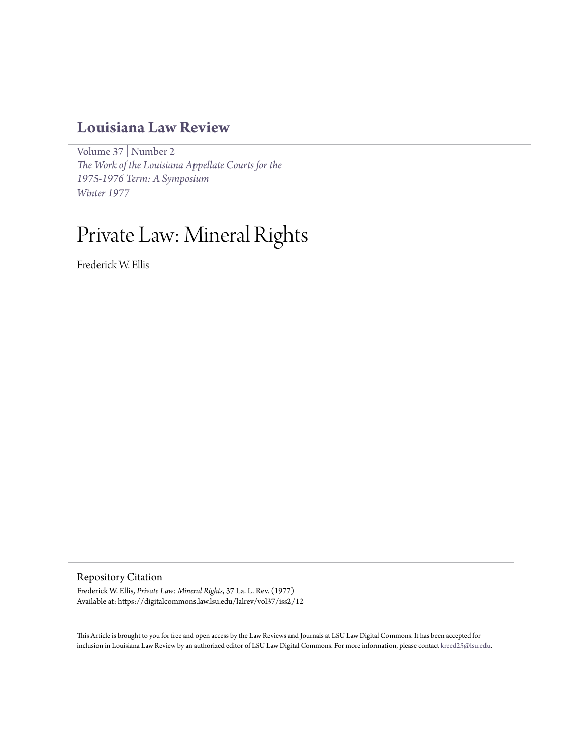## **[Louisiana Law Review](https://digitalcommons.law.lsu.edu/lalrev)**

[Volume 37](https://digitalcommons.law.lsu.edu/lalrev/vol37) | [Number 2](https://digitalcommons.law.lsu.edu/lalrev/vol37/iss2) *[The Work of the Louisiana Appellate Courts for the](https://digitalcommons.law.lsu.edu/lalrev/vol37/iss2) [1975-1976 Term: A Symposium](https://digitalcommons.law.lsu.edu/lalrev/vol37/iss2) [Winter 1977](https://digitalcommons.law.lsu.edu/lalrev/vol37/iss2)*

# Private Law: Mineral Rights

Frederick W. Ellis

Repository Citation

Frederick W. Ellis, *Private Law: Mineral Rights*, 37 La. L. Rev. (1977) Available at: https://digitalcommons.law.lsu.edu/lalrev/vol37/iss2/12

This Article is brought to you for free and open access by the Law Reviews and Journals at LSU Law Digital Commons. It has been accepted for inclusion in Louisiana Law Review by an authorized editor of LSU Law Digital Commons. For more information, please contact [kreed25@lsu.edu](mailto:kreed25@lsu.edu).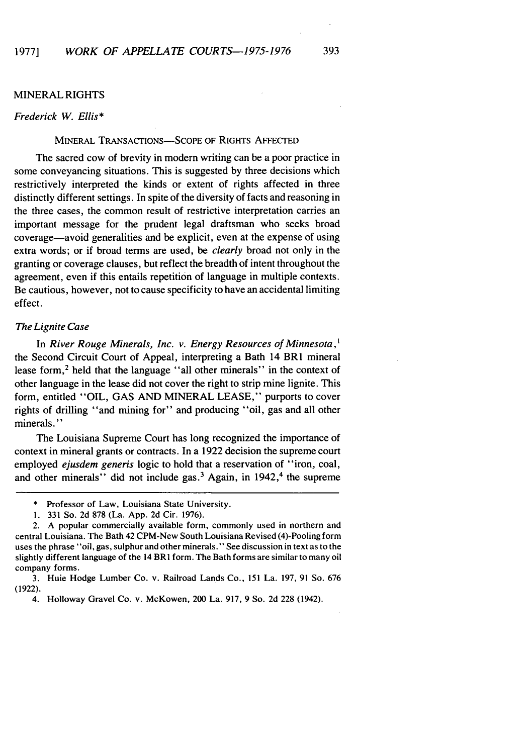#### MINERAL RIGHTS

#### Frederick W. Ellis\*

#### MINERAL TRANSACTIONS-SCOPE OF RIGHTS AFFECTED

The sacred cow of brevity in modern writing can be a poor practice in some conveyancing situations. This is suggested by three decisions which restrictively interpreted the kinds or extent of rights affected in three distinctly different settings. In spite of the diversity of facts and reasoning in the three cases, the common result of restrictive interpretation carries an important message for the prudent legal draftsman who seeks broad coverage-avoid generalities and be explicit, even at the expense of using extra words; or if broad terms are used, be *clearly* broad not only in the granting or coverage clauses, but reflect the breadth of intent throughout the agreement, even if this entails repetition of language in multiple contexts. Be cautious, however, not to cause specificity to have an accidental limiting effect.

#### The Lignite Case

In River Rouge Minerals, Inc. v. Energy Resources of Minnesota, $<sup>1</sup>$ </sup> the Second Circuit Court of Appeal, interpreting a Bath 14 BRI mineral lease form,<sup>2</sup> held that the language "all other minerals" in the context of other language in the lease did not cover the right to strip mine lignite. This form, entitled "OIL, GAS AND MINERAL LEASE," purports to cover rights of drilling "and mining for" and producing "oil, gas and all other minerals."

The Louisiana Supreme Court has long recognized the importance of context in mineral grants or contracts. In a 1922 decision the supreme court employed *ejusdem generis* logic to hold that a reservation of "iron, coal, and other minerals" did not include gas.<sup>3</sup> Again, in  $1942$ ,<sup>4</sup> the supreme

<sup>\*</sup> Professor of Law, Louisiana State University.

**<sup>1.</sup>** 331 So. 2d 878 (La. App. 2d Cir. 1976).

<sup>2.</sup> A popular commercially available form, commonly used in northern and central Louisiana. The Bath 42 CPM-New South Louisiana Revised (4)-Pooling form uses the phrase "oil, gas, sulphur and other minerals." See discussion in text as to the slightly different language of the 14 BRI form. The Bath forms are similar to many oil company forms.

<sup>3.</sup> Huie Hodge Lumber Co. v. Railroad Lands Co., 151 La. 197, 91 So. 676 (1922).

<sup>4.</sup> Holloway Gravel Co. v. McKowen, 200 La. 917, 9 So. 2d 228 (1942).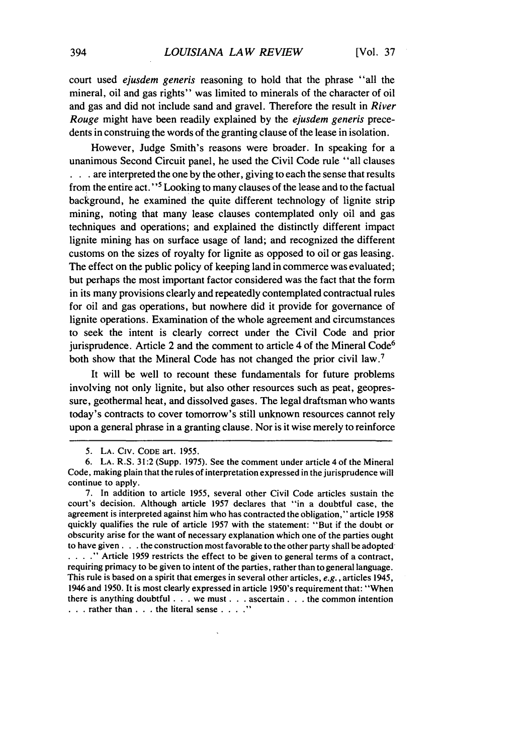court used *ejusdem generis* reasoning to hold that the phrase "all the mineral, oil and gas rights" was limited to minerals of the character of oil and gas and did not include sand and gravel. Therefore the result in *River* Rouge might have been readily explained by the *ejusdem generis* precedents in construing the words of the granting clause of the lease in isolation.

However, Judge Smith's reasons were broader. In speaking for a unanimous Second Circuit panel, he used the Civil Code rule "all clauses **. . .**are interpreted the one by the other, giving to each the sense that results from the entire act."<sup>5</sup> Looking to many clauses of the lease and to the factual background, he examined the quite different technology of lignite strip mining, noting that many lease clauses contemplated only oil and gas techniques and operations; and explained the distinctly different impact lignite mining has on surface usage of land; and recognized the different customs on the sizes of royalty for lignite as opposed to oil or gas leasing. The effect on the public policy of keeping land in commerce was evaluated; but perhaps the most important factor considered was the fact that the form in its many provisions clearly and repeatedly contemplated contractual rules for oil and gas operations, but nowhere did it provide for governance of lignite operations. Examination of the whole agreement and circumstances to seek the intent is clearly correct under the Civil Code and prior jurisprudence. Article 2 and the comment to article 4 of the Mineral Code<sup>6</sup> both show that the Mineral Code has not changed the prior civil law.<sup>7</sup>

It will be well to recount these fundamentals for future problems involving not only lignite, but also other resources such as peat, geopressure, geothermal heat, and dissolved gases. The legal draftsman who wants today's contracts to cover tomorrow's still unknown resources cannot rely upon a general phrase in a granting clause. Nor is it wise merely to reinforce

<sup>5.</sup> LA. CIV. CODE art. 1955.

<sup>6.</sup> LA. R.S. 31:2 (Supp. 1975). See the comment under article 4 of the Mineral Code, making plain that the rules of interpretation expressed in the jurisprudence will continue to apply.

<sup>7.</sup> In addition to article 1955, several other Civil Code articles sustain the court's decision. Although article 1957 declares that "in a doubtful case, the agreement is interpreted against him who has contracted the obligation," article 1958 quickly qualifies the rule of article 1957 with the statement: "But if the doubt or obscurity arise for the want of necessary explanation which one of the parties ought to have given. **. .** the construction most favorable to the other party shall be adopted **I**... **I I** Article 1959 restricts the effect to be given to general terms of a contract, requiring primacy to be given to intent of the parties, rather than to general language. This rule is based on a spirit that emerges in several other articles, e.g., articles 1945, 1946 and 1950. It is most clearly expressed in article 1950's requirement that: "When there is anything doubtful. **. .** we must. **. .** ascertain. **. .** the common intention • **. .**rather than **. . .** the literal sense . **.. .**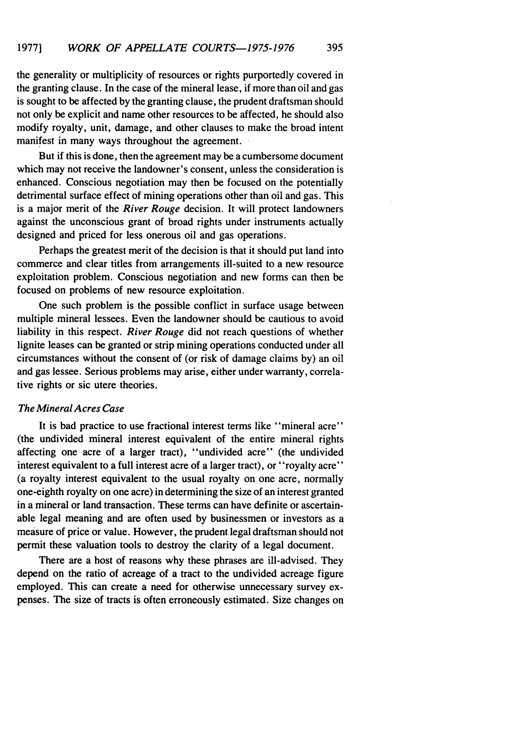the generality or multiplicity of resources or rights purportedly covered in the granting clause. In the case of the mineral lease, if more than oil and gas is sought to be affected by the granting clause, the prudent draftsman should not only be explicit and name other resources to be affected, he should also modify royalty, unit, damage, and other clauses to make the broad intent manifest in many ways throughout the agreement.

But if this is done, then the agreement may be a cumbersome document which may not receive the landowner's consent, unless the consideration is enhanced. Conscious negotiation may then be focused on the potentially detrimental surface effect of mining operations other than oil and gas. This is a major merit of the *River Rouge* decision. It will protect landowners against the unconscious grant of broad rights under instruments actually designed and priced for less onerous oil and gas operations.

Perhaps the greatest merit of the decision is that it should put land into commerce and clear titles from arrangements ill-suited to a new resource exploitation problem. Conscious negotiation and new forms can then be focused on problems of new resource exploitation.

One such problem is the possible conflict in surface usage between multiple mineral lessees. Even the landowner should be cautious to avoid liability in this respect. *River Rouge* did not reach questions of whether lignite leases can be granted or strip mining operations conducted under all circumstances without the consent of (or risk of damage claims by) an oil and gas lessee. Serious problems may arise, either under warranty, correlative rights or sic utere theories.

#### *The Mineral Acres Case*

It is bad practice to use fractional interest terms like "mineral acre" (the undivided mineral interest equivalent of the entire mineral rights affecting one acre of a larger tract), "undivided acre" (the undivided interest equivalent to a full interest acre of a larger tract), or "royalty acre" (a royalty interest equivalent to the usual royalty on one acre, normally one-eighth royalty on one acre) in determining the size of an interest granted in a mineral or land transaction. These terms can have definite or ascertainable legal meaning and are often used by businessmen or investors as a measure of price or value. However, the prudent legal draftsman should not permit these valuation tools to destroy the clarity of a legal document.

There are a host of reasons why these phrases are ill-advised. They depend on the ratio of acreage of a tract to the undivided acreage figure employed. This can create a need for otherwise unnecessary survey expenses. The size of tracts is often erroneously estimated. Size changes on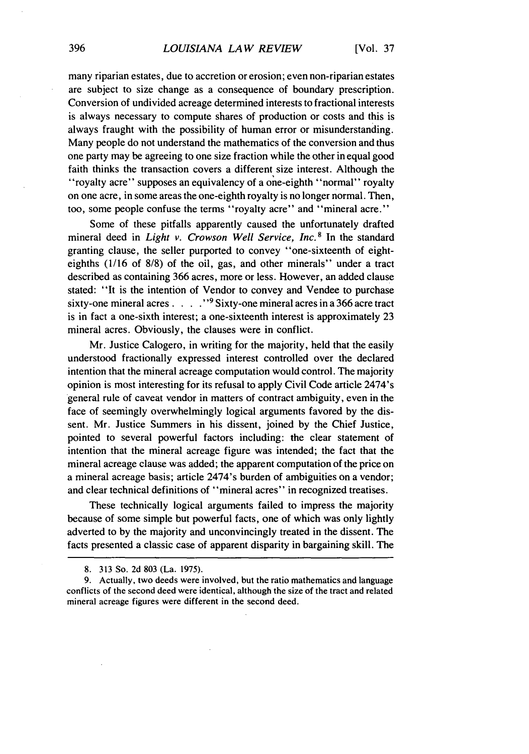many riparian estates, due to accretion or erosion; even non-riparian estates are subject to size change as a consequence of boundary prescription. Conversion of undivided acreage determined interests to fractional interests is always necessary to compute shares of production or costs and this is always fraught with the possibility of human error or misunderstanding. Many people do not understand the mathematics of the conversion and thus one party may be agreeing to one size fraction while the other in equal good faith thinks the transaction covers a different size interest. Although the "royalty acre" supposes an equivalency of a one-eighth "normal" royalty on one acre, in some areas the one-eighth royalty is no longer normal. Then, too, some people confuse the terms "royalty acre" and "mineral acre."

Some of these pitfalls apparently caused the unfortunately drafted mineral deed in *Light v. Crowson Well Service, Inc.* 8 In the standard granting clause, the seller purported to convey "one-sixteenth of eighteighths (1/16 of 8/8) of the oil, gas, and other minerals" under a tract described as containing 366 acres, more or less. However, an added clause stated: "It is the intention of Vendor to convey and Vendee to purchase sixty-one mineral acres.....<sup>"9</sup> Sixty-one mineral acres in a 366 acre tract is in fact a one-sixth interest; a one-sixteenth interest is approximately 23 mineral acres. Obviously, the clauses were in conflict.

Mr. Justice Calogero, in writing for the majority, held that the easily understood fractionally expressed interest controlled over the declared intention that the mineral acreage computation would control. The majority opinion is most interesting for its refusal to apply Civil Code article 2474's general rule of caveat vendor in matters of contract ambiguity, even in the face of seemingly overwhelmingly logical arguments favored by the dissent. Mr. Justice Summers in his dissent, joined by the Chief Justice, pointed to several powerful factors including: the clear statement of intention that the mineral acreage figure was intended; the fact that the mineral acreage clause was added; the apparent computation of the price on a mineral acreage basis; article 2474's burden of ambiguities on a vendor; and clear technical definitions of "mineral acres" in recognized treatises.

These technically logical arguments failed to impress the majority because of some simple but powerful facts, one of which was only lightly adverted to by the majority and unconvincingly treated in the dissent. The facts presented a classic case of apparent disparity in bargaining skill. The

<sup>8. 313</sup> So. 2d 803 (La. 1975).

<sup>9.</sup> Actually, two deeds were involved, but the ratio mathematics and language conflicts of the second deed were identical, although the size of the tract and related mineral acreage figures were different in the second deed.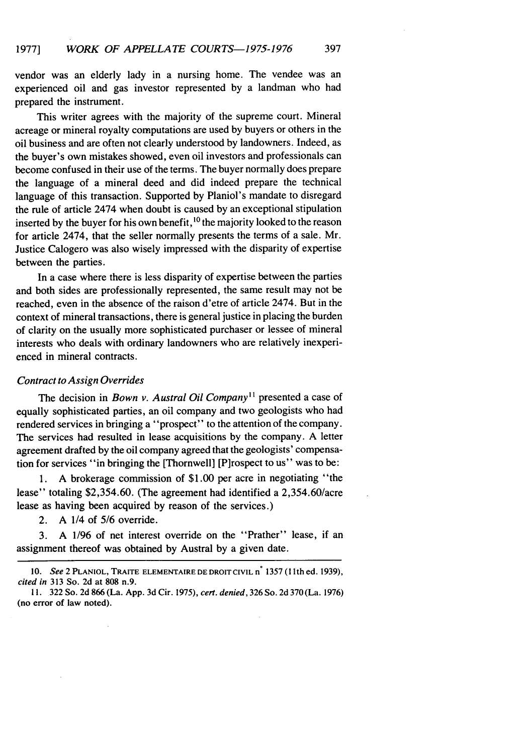vendor was an elderly lady in a nursing home. The vendee was an experienced oil and gas investor represented by a landman who had prepared the instrument.

This writer agrees with the majority of the supreme court. Mineral acreage or mineral royalty computations are used by buyers or others in the oil business and are often not clearly understood by landowners. Indeed, as the buyer's own mistakes showed, even oil investors and professionals can become confused in their use of the terms. The buyer normally does prepare the language of a mineral deed and did indeed prepare the technical language of this transaction. Supported by Planiol's mandate to disregard the rule of article 2474 when doubt is caused by an exceptional stipulation inserted by the buyer for his own benefit,  $\frac{10}{10}$  the majority looked to the reason for article 2474, that the seller normally presents the terms of a sale. Mr. Justice Calogero was also wisely impressed with the disparity of expertise between the parties.

In a case where there is less disparity of expertise between the parties and both sides are professionally represented, the same result may not be reached, even in the absence of the raison d'etre of article 2474. But in the context of mineral transactions, there is general justice in placing the burden of clarity on the usually more sophisticated purchaser or lessee of mineral interests who deals with ordinary landowners who are relatively inexperienced in mineral contracts.

#### Contract to Assign *Overrides*

The decision in *Bown v. Austral Oil Company*<sup>11</sup> presented a case of equally sophisticated parties, an oil company and two geologists who had rendered services in bringing a "prospect" to the attention of the company. The services had resulted in lease acquisitions by the company. A letter agreement drafted by the oil company agreed that the geologists' compensation for services "in bringing the [Thornwell] [P]rospect to us" was to be:

**1.** A brokerage commission of \$1.00 per acre in negotiating "the lease" totaling \$2,354.60. (The agreement had identified a 2,354.60/acre lease as having been acquired by reason of the services.)

2. A 1/4 of *5/6* override.

3. A 1/96 of net interest override on the "Prather" lease, if an assignment thereof was obtained by Austral by a given date.

**<sup>10.</sup>** *See* 2 **PLANIOL,** TRAITE **ELEMENTAIRE DE DROIT** CIVIL n\* **1357 (1** ith ed. 1939), *cited in* **313** So. **2d** at **808** n.9.

**<sup>11. 322</sup>** So. **2d** 866 (La. **App.** 3d Cir. **1975),** *cert. denied,* 326 So. 2d 370 (La. **1976)** (no error of law noted).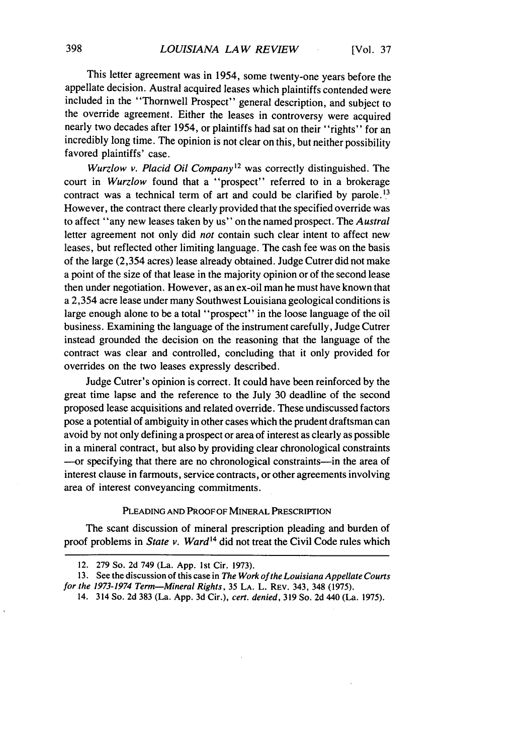This letter agreement was in 1954, some twenty-one years before the appellate decision. Austral acquired leases which plaintiffs contended were included in the "Thornwell Prospect" general description, and subject to the override agreement. Either the leases in controversy were acquired nearly two decades after 1954, or plaintiffs had sat on their "rights" for an incredibly long time. The opinion is not clear on this, but neither possibility favored plaintiffs' case.

Wurzlow *v. Placid Oil Company12* was correctly distinguished. The court in Wurzlow found that a "prospect" referred to in a brokerage contract was a technical term of art and could be clarified by parole.<sup>13</sup> However, the contract there clearly provided that the specified override was to affect "any new leases taken by us" on the named prospect. The *Austral* letter agreement not only did *not* contain such clear intent to affect new leases, but reflected other limiting language. The cash fee was on the basis of the large (2,354 acres) lease already obtained. Judge Cutrer did not make a point of the size of that lease in the majority opinion or of the second lease then under negotiation. However, as an ex-oil man he must have known that a 2,354 acre lease under many Southwest Louisiana geological conditions is large enough alone to be a total "prospect" in the loose language of the oil business. Examining the language of the instrument carefully, Judge Cutrer instead grounded the decision on the reasoning that the language of the contract was clear and controlled, concluding that it only provided for overrides on the two leases expressly described.

Judge Cutrer's opinion is correct. It could have been reinforced by the great time lapse and the reference to the July 30 deadline of the second proposed lease acquisitions and related override. These undiscussed factors pose a potential of ambiguity in other cases which the prudent draftsman can avoid by not only defining a prospect or area of interest as clearly as possible in a mineral contract, but also by providing clear chronological constraints --- or specifying that there are no chronological constraints-in the area of interest clause in farmouts, service contracts, or other agreements involving area of interest conveyancing commitments.

#### **PLEADING AND** PROOF OF MINERAL PRESCRIPTION

The scant discussion of mineral prescription pleading and burden of proof problems in *State v. Ward14* did not treat the Civil Code rules which

<sup>12. 279</sup> So. 2d 749 (La. App. Ist Cir. **1973).**

<sup>13.</sup> See the discussion of this case in The Work of the Louisiana Appellate Courts *for the 1973-1974 Term-Mineral Rights,* 35 **LA.** L. REV. 343, 348 (1975).

<sup>14. 314</sup> So. **2d** 383 (La. **App. 3d** Cir.), *cert. denied,* **319** So. **2d** 440 (La. 1975).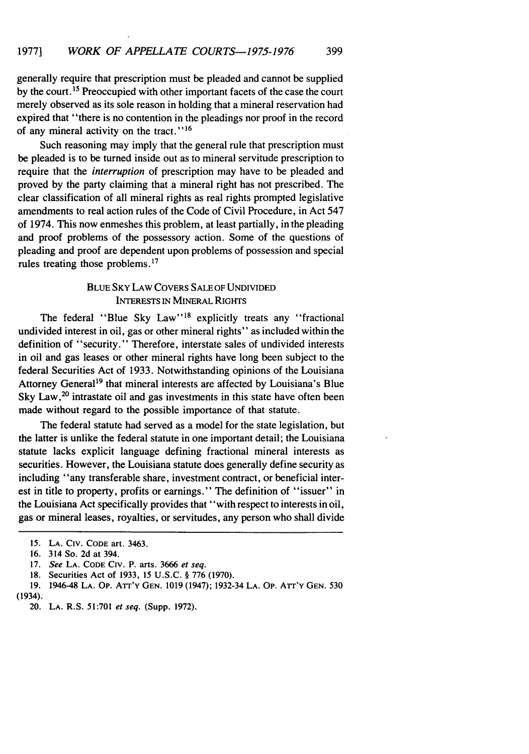generally require that prescription must be pleaded and cannot be supplied

by the court.<sup>15</sup> Preoccupied with other important facets of the case the court merely observed as its sole reason in holding that a mineral reservation had expired that "there is no contention in the pleadings nor proof in the record of any mineral activity on the tract."<sup>16</sup>

Such reasoning may imply that the general rule that prescription must be pleaded is to be turned inside out as to mineral servitude prescription to require that the *interruption* of prescription may have to be pleaded and proved by the party claiming that a mineral right has not prescribed. The clear classification of all mineral rights as real rights prompted legislative amendments to real action rules of the Code of Civil Procedure, in Act 547 of 1974. This now enmeshes this problem, at least partially, in the pleading and proof problems of the possessory action. Some of the questions of pleading and proof are dependent upon problems of possession and special rules treating those problems.17

### BLUE SKY LAW COVERS SALE OF UNDIVIDED INTERESTS IN MINERAL RIGHTS

The federal "Blue Sky Law"<sup>18</sup> explicitly treats any "fractional undivided interest in oil, gas or other mineral rights" as included within the definition of "security." Therefore, interstate sales of undivided interests in oil and gas leases or other mineral rights have long been subject to the federal Securities Act of 1933. Notwithstanding opinions of the Louisiana Attorney General<sup>19</sup> that mineral interests are affected by Louisiana's Blue Sky Law,<sup>20</sup> intrastate oil and gas investments in this state have often been made without regard to the possible importance of that statute.

The federal statute had served as a model for the state legislation, but the latter is unlike the federal statute in one important detail; the Louisiana statute lacks explicit language defining fractional mineral interests as securities. However, the Louisiana statute does generally define security as including "any transferable share, investment contract, or beneficial interest in title to property, profits or earnings." The definition of "issuer" in the Louisiana Act specifically provides that "with respect to interests in oil, gas or mineral leases, royalties, or servitudes, any person who shall divide

*<sup>15.</sup>* LA. CIV. CODE art. 3463.

<sup>16. 314</sup> So. 2d at 394.

<sup>17.</sup> *See* LA. CODE CIV. P. arts. 3666 *et seq.*

<sup>18.</sup> Securities Act of 1933, 15 U.S.C. § 776 (1970).

<sup>19. 1946-48</sup> LA. Op. A'rr'Y GEN. 1019 (1947); 1932-34 LA. Op. Arr'Y GEN. 530 (1934).

<sup>20.</sup> **LA.** R.S. 51:701 *et seq.* (Supp. 1972).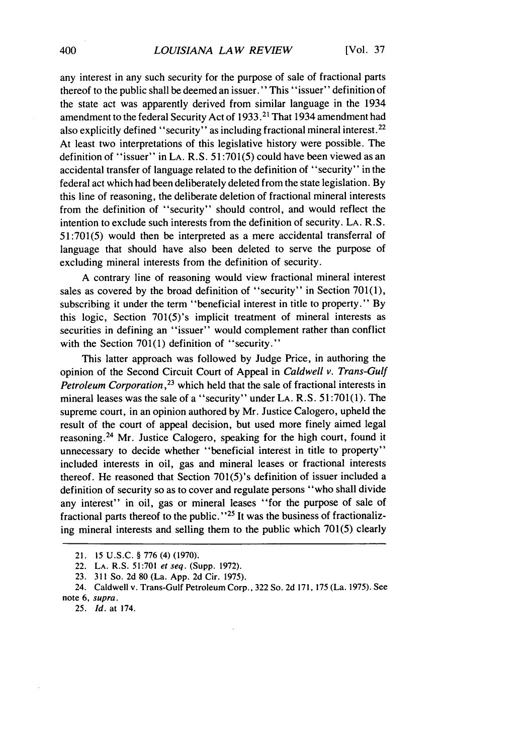any interest in any such security for the purpose of sale of fractional parts thereof to the public shall be deemed an issuer." This "issuer" definition of the state act was apparently derived from similar language in the 1934 amendment to the federal Security Act of 1933.<sup>21</sup> That 1934 amendment had also explicitly defined "security" as including fractional mineral interest.<sup>22</sup> At least two interpretations of this legislative history were possible. The definition of "issuer" in **LA.** R.S. 51:701(5) could have been viewed as an accidental transfer of language related to the definition of "security" in the federal act which had been deliberately deleted from the state legislation. By this line of reasoning, the deliberate deletion of fractional mineral interests from the definition of "security" should control, and would reflect the intention to exclude such interests from the definition of security. LA. R.S. 51:701(5) would then be interpreted as a mere accidental transferral of language that should have also been deleted to serve the purpose of excluding mineral interests from the definition of security.

A contrary line of reasoning would view fractional mineral interest sales as covered by the broad definition of "security" in Section 701(1), subscribing it under the term "beneficial interest in title to property." By this logic, Section 701(5)'s implicit treatment of mineral interests as securities in defining an "issuer" would complement rather than conflict with the Section 701(1) definition of "security."

This latter approach was followed by Judge Price, in authoring the opinion of the Second Circuit Court of Appeal in *Caldwell v. Trans-Gulf Petroleum Corporation,23* which held that the sale of fractional interests in mineral leases was the sale of a "security" under LA. R.S. 51:701(1). The supreme court, in an opinion authored by Mr. Justice Calogero, upheld the result of the court of appeal decision, but used more finely aimed legal reasoning. 24 Mr. Justice Calogero, speaking for the high court, found it unnecessary to decide whether "beneficial interest in title to property" included interests in oil, gas and mineral leases or fractional interests thereof. He reasoned that Section 701(5)'s definition of issuer included a definition of security so as to cover and regulate persons "who shall divide any interest" in oil, gas or mineral leases "for the purpose of sale of fractional parts thereof to the public."<sup>25</sup> It was the business of fractionalizing mineral interests and selling them to the public which 701(5) clearly

25. *Id.* at 174.

<sup>21. 15</sup> U.S.C. § 776 (4) (1970).

<sup>22.</sup> LA. R.S. 51:701 *et seq.* (Supp. 1972).

<sup>23. 311</sup> So. 2d 80 (La. App. 2d Cir. 1975).

<sup>24.</sup> Caldwell v. Trans-Gulf Petroleum Corp., 322 So. 2d 171, 175 (La. 1975). See note **6,** supra.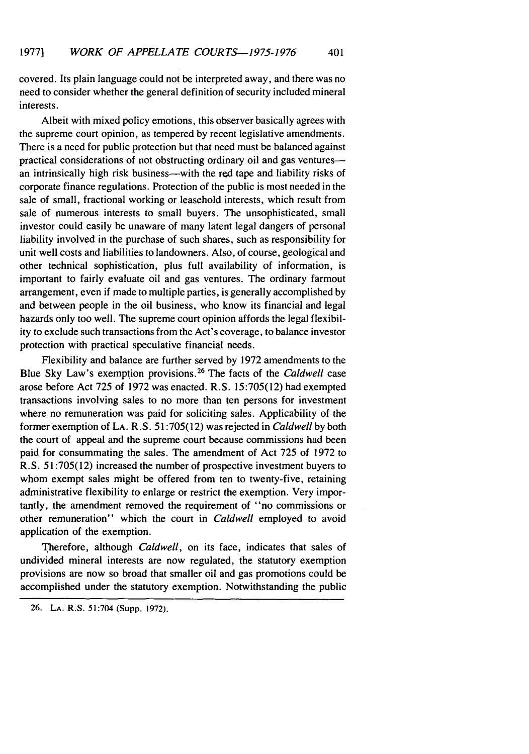covered. Its plain language could not be interpreted away, and there was no need to consider whether the general definition of security included mineral interests.

Albeit with mixed policy emotions, this observer basically agrees with the supreme court opinion, as tempered by recent legislative amendments. There is a need for public protection but that need must be balanced against practical considerations of not obstructing ordinary oil and gas venturesan intrinsically high risk business—with the red tape and liability risks of corporate finance regulations. Protection of the public is most needed in the sale of small, fractional working or leasehold interests, which result from sale of numerous interests to small buyers. The unsophisticated, small investor could easily be unaware of many latent legal dangers of personal liability involved in the purchase of such shares, such as responsibility for unit well costs and liabilities to landowners. Also, of course, geological and other technical sophistication, plus full availability of information, is important to fairly evaluate oil and gas ventures. The ordinary farmout arrangement, even if made to multiple parties, is generally accomplished by and between people in the oil business, who know its financial and legal hazards only too well. The supreme court opinion affords the legal flexibility to exclude such transactions from the Act's coverage, to balance investor protection with practical speculative financial needs.

Flexibility and balance are further served by 1972 amendments to the Blue Sky Law's exemption provisions. 26 The facts of the *Caldwell* case arose before Act 725 of 1972 was enacted. R.S. 15:705(12) had exempted transactions involving sales to no more than ten persons for investment where no remuneration was paid for soliciting sales. Applicability of the former exemption of LA. R.S. 51:705(12) was rejected in *Caldwell* by both the court of appeal and the supreme court because commissions had been paid for consummating the sales. The amendment of Act 725 of 1972 to R.S. 51:705(12) increased the number of prospective investment buyers to whom exempt sales might be offered from ten to twenty-five, retaining administrative flexibility to enlarge or restrict the exemption. Very importantly, the amendment removed the requirement of "no commissions or other remuneration" which the court in *Caldwell* employed to avoid application of the exemption.

Therefore, although *Caldwell,* on its face, indicates that sales of undivided mineral interests are now regulated, the statutory exemption provisions are now so broad that smaller oil and gas promotions could be accomplished under the statutory exemption. Notwithstanding the public

<sup>26.</sup> LA. R.S. 51:704 (Supp. 1972).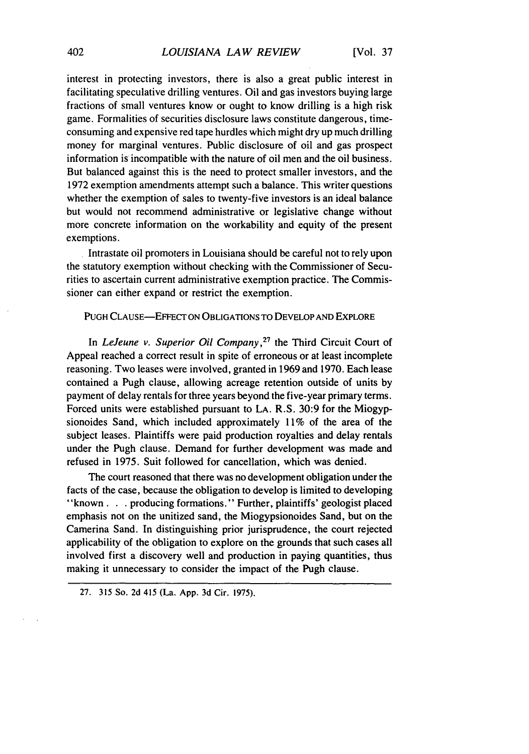interest in protecting investors, there is also a great public interest in facilitating speculative drilling ventures. Oil and gas investors buying large fractions of small ventures know or ought to know drilling is a high risk game. Formalities of securities disclosure laws constitute dangerous, timeconsuming and expensive red tape hurdles which might dry up much drilling money for marginal ventures. Public disclosure of oil and gas prospect information is incompatible with the nature of oil men and the oil business. But balanced against this is the need to protect smaller investors, and the 1972 exemption amendments attempt such a balance. This writer questions whether the exemption of sales to twenty-five investors is an ideal balance but would not recommend administrative or legislative change without more concrete information on the workability and equity of the present exemptions.

Intrastate oil promoters in Louisiana should be careful not to rely upon the statutory exemption without checking with the Commissioner of Securities to ascertain current administrative exemption practice. The Commissioner can either expand or restrict the exemption.

#### **PUGH** CLAUSE-EFFECT ON OBLIGATIONS TO DEVELOP **AND** EXPLORE

In *LeJeune v. Superior Oil Company,27* the Third Circuit Court of Appeal reached a correct result in spite of erroneous or at least incomplete reasoning. Two leases were involved, granted in 1969 and 1970. Each lease contained a Pugh clause, allowing acreage retention outside of units by payment of delay rentals for three years beyond the five-year primary terms. Forced units were established pursuant to **LA.** R.S. 30:9 for the Miogypsionoides Sand, which included approximately 11% of the area of the subject leases. Plaintiffs were paid production royalties and delay rentals under the Pugh clause. Demand for further development was made and refused in 1975. Suit followed for cancellation, which was denied.

The court reasoned that there was no development obligation under the facts of the case, because the obligation to develop is limited to developing "known. **.** . producing formations." Further, plaintiffs' geologist placed emphasis not on the unitized sand, the Miogypsionoides Sand, but on the Camerina Sand. In distinguishing prior jurisprudence, the court rejected applicability of the obligation to explore on the grounds that such cases all involved first a discovery well and production in paying quantities, thus making it unnecessary to consider the impact of the Pugh clause.

**<sup>27. 315</sup>** So. 2d 415 (La. **App.** 3d Cir. **1975).**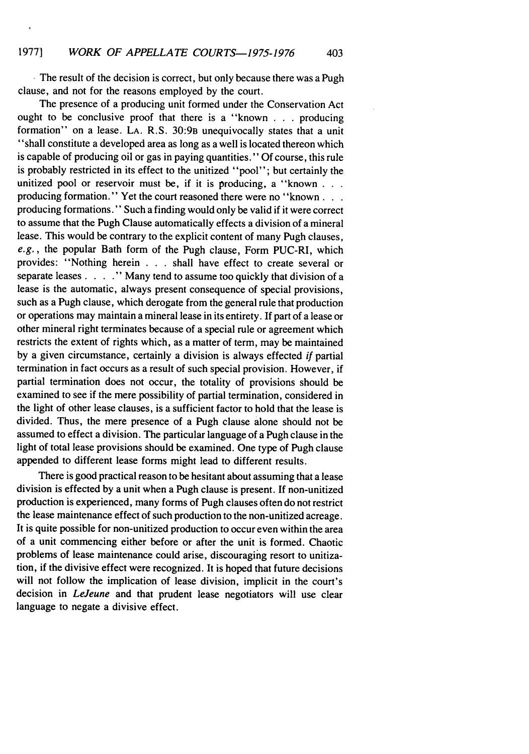**.** The result of the decision is correct, but only because there was a Pugh clause, and not for the reasons employed by the court.

The presence of a producing unit formed under the Conservation Act ought to be conclusive proof that there is a "known . . . producing formation" on a lease. LA. R.S. 30:9B unequivocally states that a unit "shall constitute a developed area as long as a well is located thereon which is capable of producing oil or gas in paying quantities." Of course, this rule is probably restricted in its effect to the unitized "pool"; but certainly the unitized pool or reservoir must be, if it is producing, a "known **. . .** producing formation." Yet the court reasoned there were no "known... producing formations." Such a finding would only be valid if it were correct to assume that the Pugh Clause automatically effects a division of a mineral lease. This would be contrary to the explicit content of many Pugh clauses, e.g., the popular Bath form of the Pugh clause, Form PUC-RI, which provides: "Nothing herein . . . shall have effect to create several or separate leases . **. . .** " Many tend to assume too quickly that division of a lease is the automatic, always present consequence of special provisions, such as a Pugh clause, which derogate from the general rule that production or operations may maintain a mineral lease in its entirety. If part of a lease or other mineral right terminates because of a special rule or agreement which restricts the extent of rights which, as a matter of term, may be maintained by a given circumstance, certainly a division is always effected *if* partial termination in fact occurs as a result of such special provision. However, if partial termination does not occur, the totality of provisions should be examined to see if the mere possibility of partial termination, considered in the light of other lease clauses, is a sufficient factor to hold that the lease is divided. Thus, the mere presence of a Pugh clause alone should not be assumed to effect a division. The particular language of a Pugh clause in the light of total lease provisions should be examined. One type of Pugh clause appended to different lease forms might lead to different results.

There is good practical reason to be hesitant about assuming that a lease division is effected by a unit when a Pugh clause is present. If non-unitized production is experienced, many forms of Pugh clauses often do not restrict the lease maintenance effect of such production to the non-unitized acreage. It is quite possible for non-unitized production to occur even within the area of a unit commencing either before or after the unit is formed. Chaotic problems of lease maintenance could arise, discouraging resort to unitization, if the divisive effect were recognized. It is hoped that future decisions will not follow the implication of lease division, implicit in the court's decision in *LeJeune* and that prudent lease negotiators will use clear language to negate a divisive effect.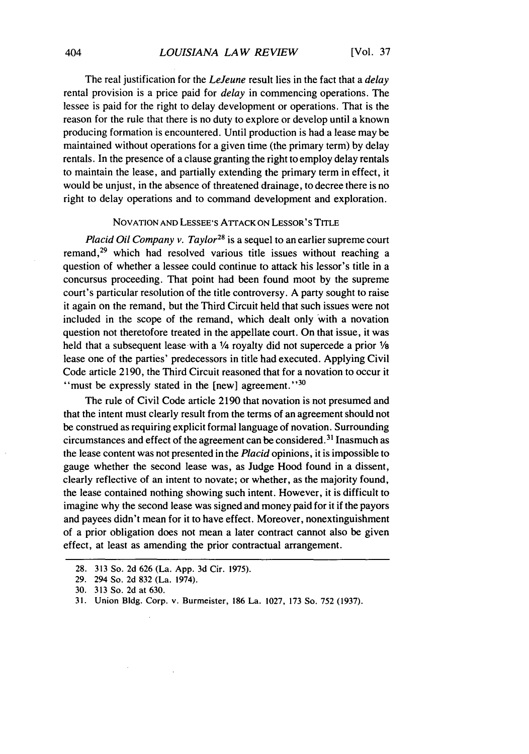The real justification for the *LeJeune* result lies in the fact that a *delay* rental provision is a price paid for *delay* in commencing operations. The lessee is paid for the right to delay development or operations. That is the reason for the rule that there is no duty to explore or develop until a known producing formation is encountered. Until production is had a lease may be maintained without operations for a given time (the primary term) by delay rentals. In the presence of a clause granting the right to employ delay rentals to maintain the lease, and partially extending the primary term in effect, it would be unjust, in the absence of threatened drainage, to decree there is no right to delay operations and to command development and exploration.

#### NOVATION AND LESSEE'S ATTACK ON LESSOR'S TITLE

*Placid Oil Company v. Taylor*<sup>28</sup> is a sequel to an earlier supreme court remand,29 which had resolved various title issues without reaching a question of whether a lessee could continue to attack his lessor's title in a concursus proceeding. That point had been found moot by the supreme court's particular resolution of the title controversy. A party sought to raise it again on the remand, but the Third Circuit held that such issues were not included in the scope of the remand, which dealt only with a novation question not theretofore treated in the appellate court. On that issue, it was held that a subsequent lease with a **1/4** royalty did not supercede a prior **1/a** lease one of the parties' predecessors in title had executed. Applying Civil Code article 2190, the Third Circuit reasoned that for a novation to occur it "must be expressly stated in the  $[new]$  agreement."<sup>30</sup>

The rule of Civil Code article 2190 that novation is not presumed and that the intent must clearly result from the terms of an agreement should not be construed as requiring explicit formal language of novation. Surrounding circumstances and effect of the agreement can be considered. 31 Inasmuch as the lease content was not presented in the *Placid* opinions, it is impossible to gauge whether the second lease was, as Judge Hood found in a dissent, clearly reflective of an intent to novate; or whether, as the majority found, the lease contained nothing showing such intent. However, it is difficult to imagine why the second lease was signed and money paid for it if the payors and payees didn't mean for it to have effect. Moreover, nonextinguishment of a prior obligation does not mean a later contract cannot also be given effect, at least as amending the prior contractual arrangement.

<sup>28. 313</sup> So. 2d 626 (La. App. 3d Cir. 1975).

<sup>29. 294</sup> So. 2d 832 (La. 1974).

<sup>30. 313</sup> So. 2d at 630.

<sup>31.</sup> Union Bldg. Corp. v. Burmeister, 186 La. 1027, 173 So. 752 (1937).